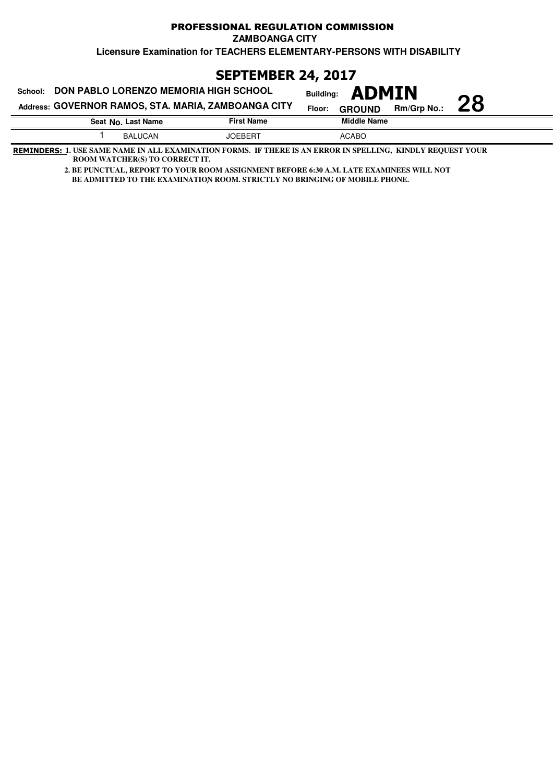### **Licensure Examination for TEACHERS ELEMENTARY-PERSONS WITH DISABILITY** PROFESSIONAL REGULATION COMMISSION **ZAMBOANGA CITY**

**SEPTEMBER 24, 2017**

| School:            | DON PABLO LORENZO MEMORIA HIGH SCHOOL               | <b>Building: ADMIN</b>                        |    |
|--------------------|-----------------------------------------------------|-----------------------------------------------|----|
|                    | Address: GOVERNOR RAMOS, STA. MARIA, ZAMBOANGA CITY | <b>Rm/Grp No.:</b><br>Floor:<br><b>GROUND</b> | 28 |
| Seat No. Last Name | <b>First Name</b>                                   | <b>Middle Name</b>                            |    |
| <b>BALUCAN</b>     | <b>JOEBERT</b>                                      | <b>ACABO</b>                                  |    |

**REMINDERS: 1. USE SAME NAME IN ALL EXAMINATION FORMS. IF THERE IS AN ERROR IN SPELLING, KINDLY REQUEST YOUR ROOM WATCHER(S) TO CORRECT IT.**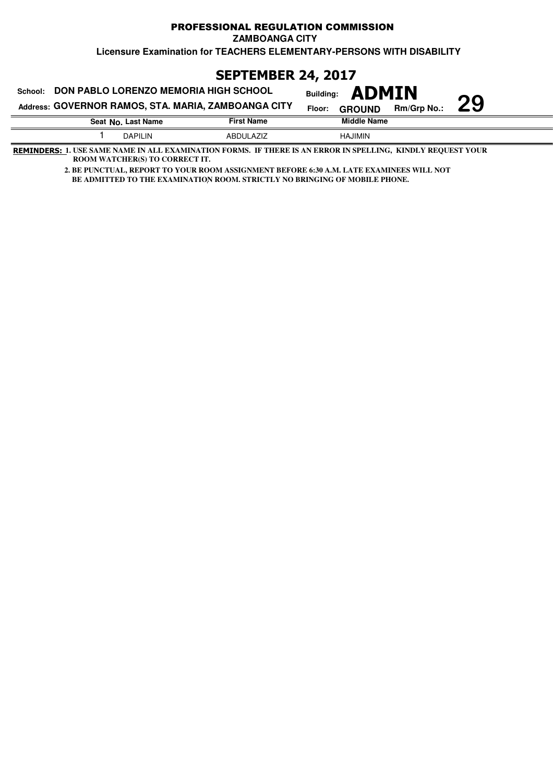### PROFESSIONAL REGULATION COMMISSION **ZAMBOANGA CITY**

**Licensure Examination for TEACHERS ELEMENTARY-PERSONS WITH DISABILITY**

# **SEPTEMBER 24, 2017**

| DON PABLO LORENZO MEMORIA HIGH SCHOOL<br>School:    | <b>ADMIN</b><br><b>Building:</b> |                    |                         |             |    |
|-----------------------------------------------------|----------------------------------|--------------------|-------------------------|-------------|----|
| Address: GOVERNOR RAMOS, STA. MARIA, ZAMBOANGA CITY |                                  |                    | Floor:<br><b>GROUND</b> | Rm/Grp No.: | 29 |
| <b>First Name</b><br>Seat No. Last Name             |                                  | <b>Middle Name</b> |                         |             |    |
|                                                     | <b>DAPILIN</b>                   | <b>ABDULAZIZ</b>   | <b>HAJIMIN</b>          |             |    |

**REMINDERS: 1. USE SAME NAME IN ALL EXAMINATION FORMS. IF THERE IS AN ERROR IN SPELLING, KINDLY REQUEST YOUR ROOM WATCHER(S) TO CORRECT IT.**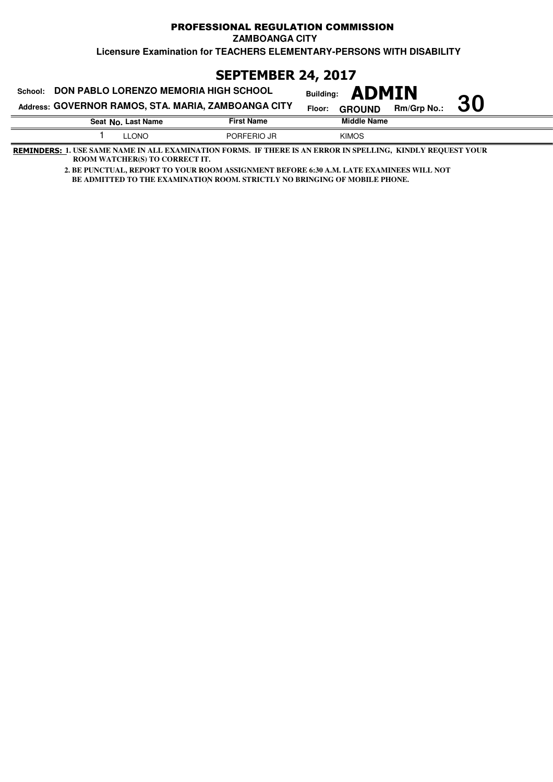## PROFESSIONAL REGULATION COMMISSION **ZAMBOANGA CITY**

**Licensure Examination for TEACHERS ELEMENTARY-PERSONS WITH DISABILITY**

**SEPTEMBER 24, 2017**

| DON PABLO LORENZO MEMORIA HIGH SCHOOL<br>School:    | <b>ADMIN</b><br><b>Building:</b> |                   |                         |                    |    |
|-----------------------------------------------------|----------------------------------|-------------------|-------------------------|--------------------|----|
| Address: GOVERNOR RAMOS, STA. MARIA, ZAMBOANGA CITY |                                  |                   | Floor:<br><b>GROUND</b> | <b>Rm/Grp No.:</b> | 30 |
|                                                     | Seat No. Last Name               | <b>First Name</b> | <b>Middle Name</b>      |                    |    |
|                                                     | <b>LLONO</b>                     | PORFERIO JR       | <b>KIMOS</b>            |                    |    |

**REMINDERS: 1. USE SAME NAME IN ALL EXAMINATION FORMS. IF THERE IS AN ERROR IN SPELLING, KINDLY REQUEST YOUR ROOM WATCHER(S) TO CORRECT IT.**